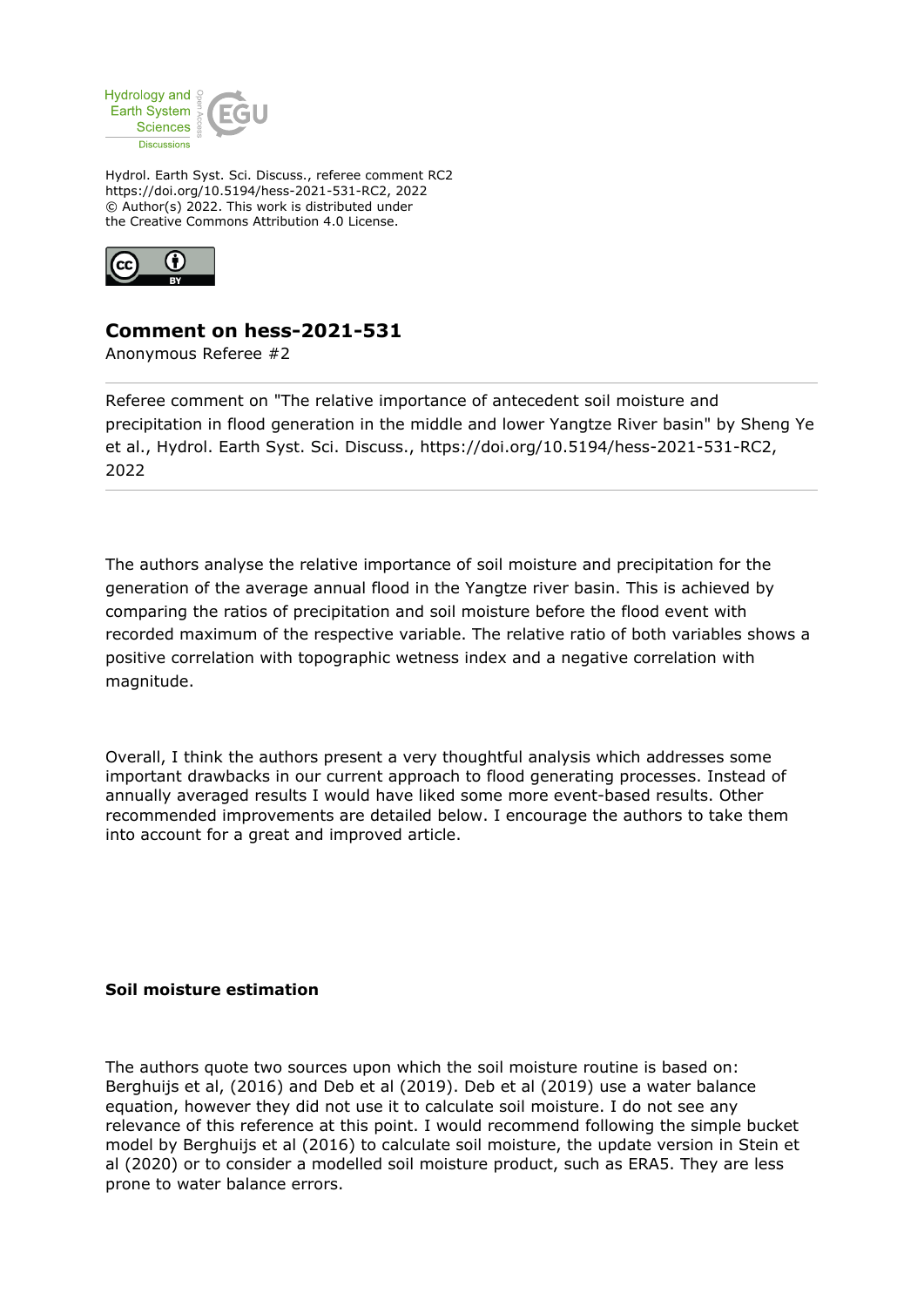

Hydrol. Earth Syst. Sci. Discuss., referee comment RC2 https://doi.org/10.5194/hess-2021-531-RC2, 2022 © Author(s) 2022. This work is distributed under the Creative Commons Attribution 4.0 License.



# **Comment on hess-2021-531**

Anonymous Referee #2

Referee comment on "The relative importance of antecedent soil moisture and precipitation in flood generation in the middle and lower Yangtze River basin" by Sheng Ye et al., Hydrol. Earth Syst. Sci. Discuss., https://doi.org/10.5194/hess-2021-531-RC2, 2022

The authors analyse the relative importance of soil moisture and precipitation for the generation of the average annual flood in the Yangtze river basin. This is achieved by comparing the ratios of precipitation and soil moisture before the flood event with recorded maximum of the respective variable. The relative ratio of both variables shows a positive correlation with topographic wetness index and a negative correlation with magnitude.

Overall, I think the authors present a very thoughtful analysis which addresses some important drawbacks in our current approach to flood generating processes. Instead of annually averaged results I would have liked some more event-based results. Other recommended improvements are detailed below. I encourage the authors to take them into account for a great and improved article.

## **Soil moisture estimation**

The authors quote two sources upon which the soil moisture routine is based on: Berghuijs et al, (2016) and Deb et al (2019). Deb et al (2019) use a water balance equation, however they did not use it to calculate soil moisture. I do not see any relevance of this reference at this point. I would recommend following the simple bucket model by Berghuijs et al (2016) to calculate soil moisture, the update version in Stein et al (2020) or to consider a modelled soil moisture product, such as ERA5. They are less prone to water balance errors.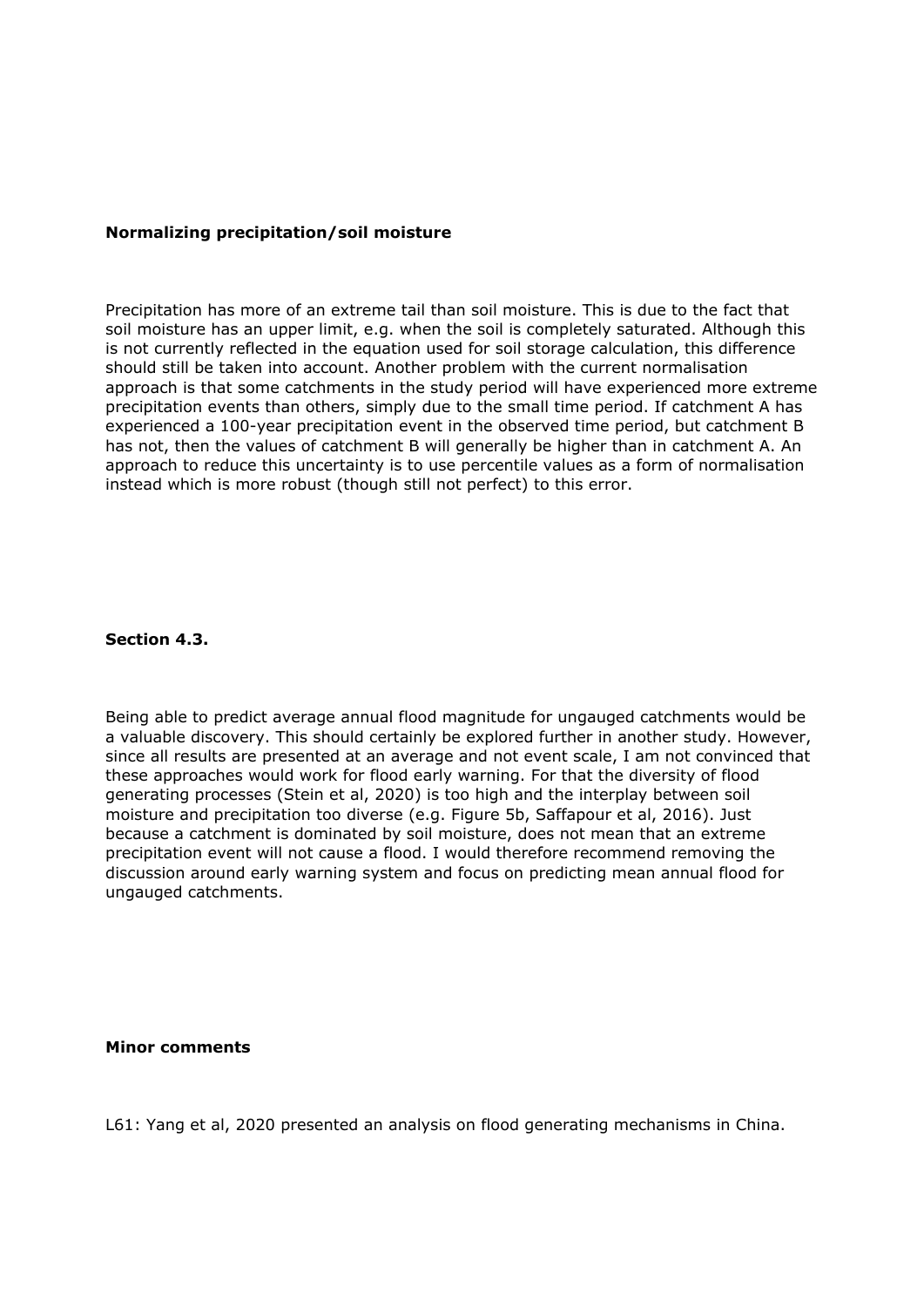## **Normalizing precipitation/soil moisture**

Precipitation has more of an extreme tail than soil moisture. This is due to the fact that soil moisture has an upper limit, e.g. when the soil is completely saturated. Although this is not currently reflected in the equation used for soil storage calculation, this difference should still be taken into account. Another problem with the current normalisation approach is that some catchments in the study period will have experienced more extreme precipitation events than others, simply due to the small time period. If catchment A has experienced a 100-year precipitation event in the observed time period, but catchment B has not, then the values of catchment B will generally be higher than in catchment A. An approach to reduce this uncertainty is to use percentile values as a form of normalisation instead which is more robust (though still not perfect) to this error.

### **Section 4.3.**

Being able to predict average annual flood magnitude for ungauged catchments would be a valuable discovery. This should certainly be explored further in another study. However, since all results are presented at an average and not event scale, I am not convinced that these approaches would work for flood early warning. For that the diversity of flood generating processes (Stein et al, 2020) is too high and the interplay between soil moisture and precipitation too diverse (e.g. Figure 5b, Saffapour et al, 2016). Just because a catchment is dominated by soil moisture, does not mean that an extreme precipitation event will not cause a flood. I would therefore recommend removing the discussion around early warning system and focus on predicting mean annual flood for ungauged catchments.

#### **Minor comments**

L61: Yang et al, 2020 presented an analysis on flood generating mechanisms in China.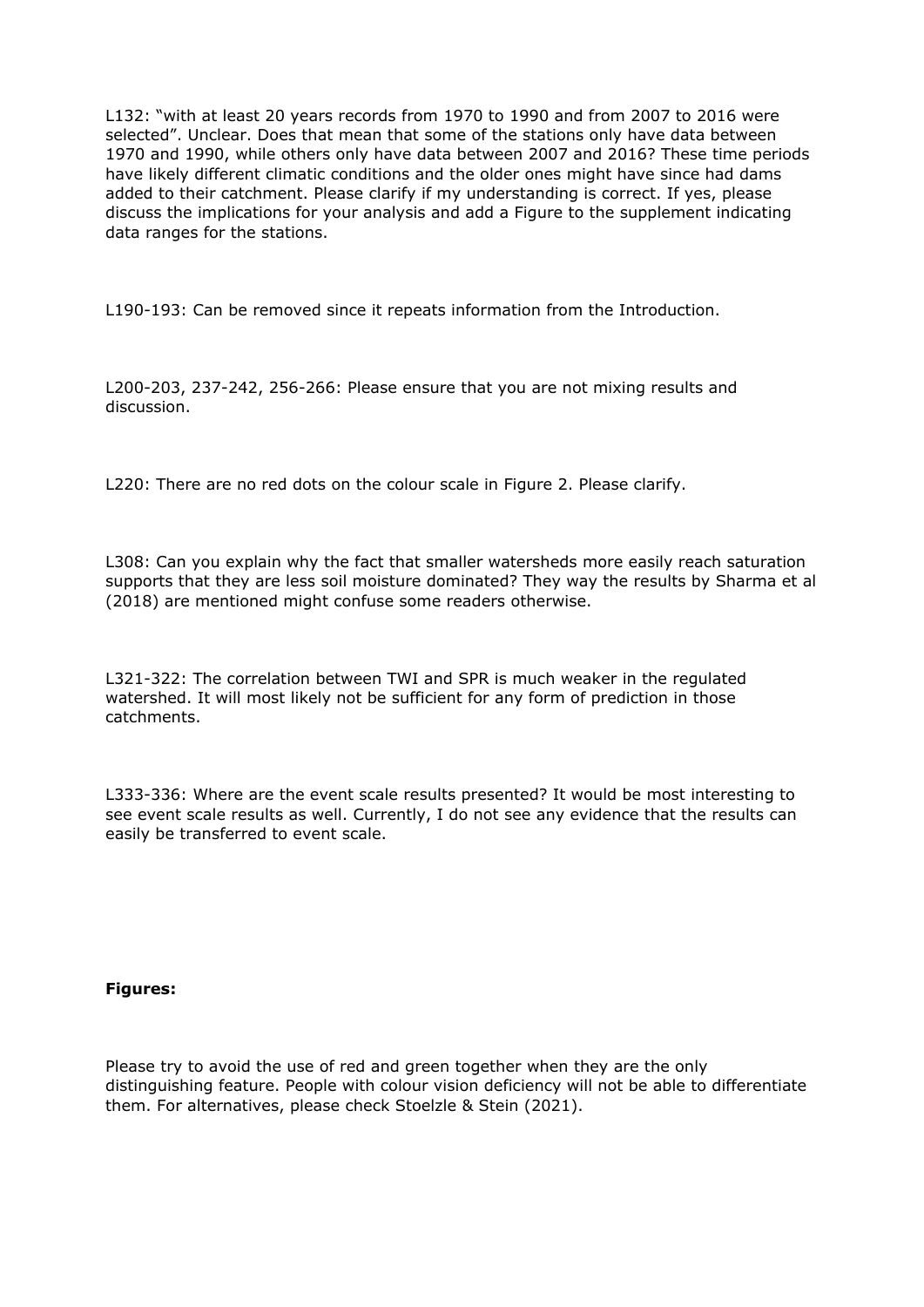L132: "with at least 20 years records from 1970 to 1990 and from 2007 to 2016 were selected". Unclear. Does that mean that some of the stations only have data between 1970 and 1990, while others only have data between 2007 and 2016? These time periods have likely different climatic conditions and the older ones might have since had dams added to their catchment. Please clarify if my understanding is correct. If yes, please discuss the implications for your analysis and add a Figure to the supplement indicating data ranges for the stations.

L190-193: Can be removed since it repeats information from the Introduction.

L200-203, 237-242, 256-266: Please ensure that you are not mixing results and discussion.

L220: There are no red dots on the colour scale in Figure 2. Please clarify.

L308: Can you explain why the fact that smaller watersheds more easily reach saturation supports that they are less soil moisture dominated? They way the results by Sharma et al (2018) are mentioned might confuse some readers otherwise.

L321-322: The correlation between TWI and SPR is much weaker in the regulated watershed. It will most likely not be sufficient for any form of prediction in those catchments.

L333-336: Where are the event scale results presented? It would be most interesting to see event scale results as well. Currently, I do not see any evidence that the results can easily be transferred to event scale.

## **Figures:**

Please try to avoid the use of red and green together when they are the only distinguishing feature. People with colour vision deficiency will not be able to differentiate them. For alternatives, please check Stoelzle & Stein (2021).